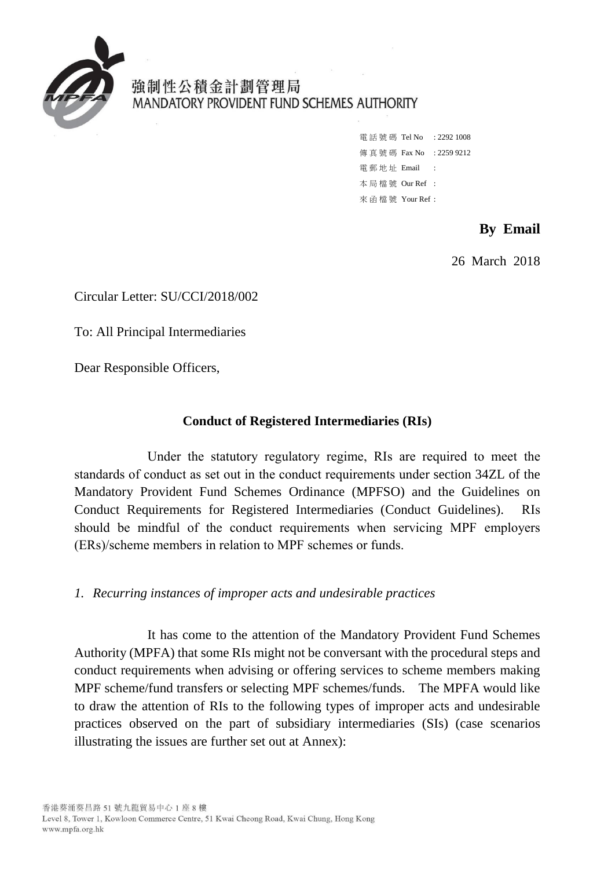

# 強制性公積金計劃管理局 MANDATORY PROVIDENT FUND SCHEMES AUTHORITY

雷話號碼 Tel No : 2292 1008 傳真號碼 Fax No : 2259 9212 電 郵 地 址 Email : 本 局 檔 號 Our Ref : 來 函 檔 號 Your Ref :

## **By Email**

26 March 2018

Circular Letter: SU/CCI/2018/002

To: All Principal Intermediaries

Dear Responsible Officers,

#### **Conduct of Registered Intermediaries (RIs)**

 Under the statutory regulatory regime, RIs are required to meet the standards of conduct as set out in the conduct requirements under section 34ZL of the Mandatory Provident Fund Schemes Ordinance (MPFSO) and the Guidelines on Conduct Requirements for Registered Intermediaries (Conduct Guidelines). RIs should be mindful of the conduct requirements when servicing MPF employers (ERs)/scheme members in relation to MPF schemes or funds.

#### *1. Recurring instances of improper acts and undesirable practices*

 conduct requirements when advising or offering services to scheme members making MPF scheme/fund transfers or selecting MPF schemes/funds. The MPFA would like It has come to the attention of the Mandatory Provident Fund Schemes Authority (MPFA) that some RIs might not be conversant with the procedural steps and to draw the attention of RIs to the following types of improper acts and undesirable practices observed on the part of subsidiary intermediaries (SIs) (case scenarios illustrating the issues are further set out at Annex):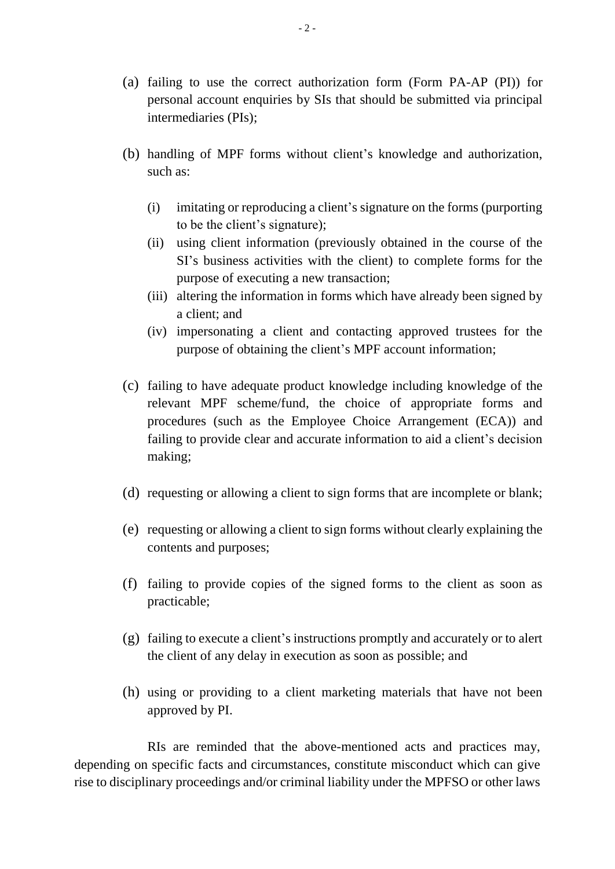- (a) failing to use the correct authorization form (Form PA-AP (PI)) for personal account enquiries by SIs that should be submitted via principal intermediaries (PIs);
- (b) handling of MPF forms without client's knowledge and authorization, such as:
	- (i) imitating or reproducing a client's signature on the forms (purporting to be the client's signature);
	- SI's business activities with the client) to complete forms for the (ii) using client information (previously obtained in the course of the purpose of executing a new transaction;
	- (iii) altering the information in forms which have already been signed by a client; and
	- (iv) impersonating a client and contacting approved trustees for the purpose of obtaining the client's MPF account information;
- (c) failing to have adequate product knowledge including knowledge of the relevant MPF scheme/fund, the choice of appropriate forms and procedures (such as the Employee Choice Arrangement (ECA)) and failing to provide clear and accurate information to aid a client's decision making;
- (d) requesting or allowing a client to sign forms that are incomplete or blank;
- (e) requesting or allowing a client to sign forms without clearly explaining the contents and purposes;
- (f) failing to provide copies of the signed forms to the client as soon as practicable;
- (g) failing to execute a client's instructions promptly and accurately or to alert the client of any delay in execution as soon as possible; and
- (h) using or providing to a client marketing materials that have not been approved by PI.

RIs are reminded that the above-mentioned acts and practices may, depending on specific facts and circumstances, constitute misconduct which can give rise to disciplinary proceedings and/or criminal liability under the MPFSO or other laws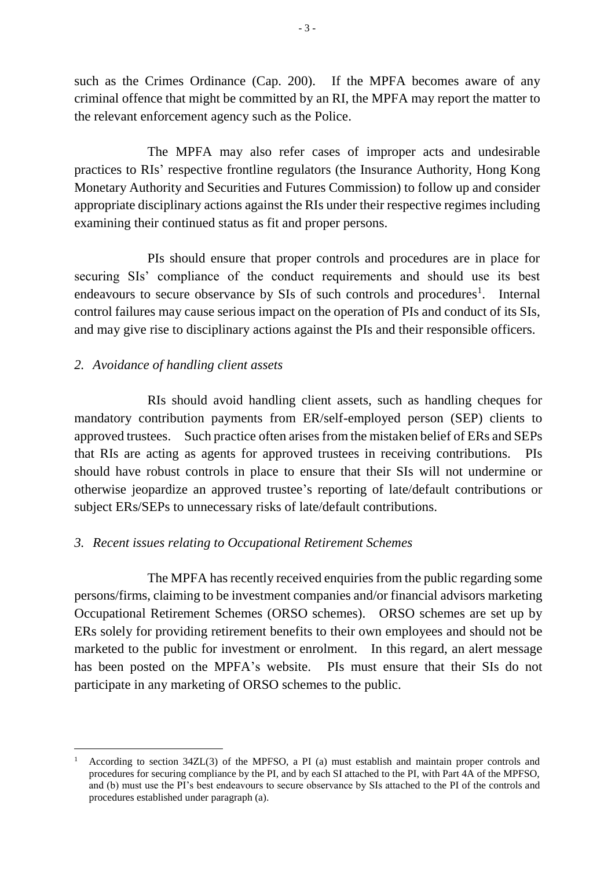such as the Crimes Ordinance (Cap. 200). If the MPFA becomes aware of any criminal offence that might be committed by an RI, the MPFA may report the matter to the relevant enforcement agency such as the Police.

 The MPFA may also refer cases of improper acts and undesirable Monetary Authority and Securities and Futures Commission) to follow up and consider appropriate disciplinary actions against the RIs under their respective regimes including practices to RIs' respective frontline regulators (the Insurance Authority, Hong Kong examining their continued status as fit and proper persons.

PIs should ensure that proper controls and procedures are in place for securing SIs' compliance of the conduct requirements and should use its best endeavours to secure observance by SIs of such controls and procedures<sup>1</sup>. Internal control failures may cause serious impact on the operation of PIs and conduct of its SIs, and may give rise to disciplinary actions against the PIs and their responsible officers.

#### *2. Avoidance of handling client assets*

-

 approved trustees. Such practice often arises from the mistaken belief of ERs and SEPs that RIs are acting as agents for approved trustees in receiving contributions. PIs RIs should avoid handling client assets, such as handling cheques for mandatory contribution payments from ER/self-employed person (SEP) clients to should have robust controls in place to ensure that their SIs will not undermine or otherwise jeopardize an approved trustee's reporting of late/default contributions or subject ERs/SEPs to unnecessary risks of late/default contributions.

## *3. Recent issues relating to Occupational Retirement Schemes*

 Occupational Retirement Schemes (ORSO schemes). ORSO schemes are set up by marketed to the public for investment or enrolment. In this regard, an alert message has been posted on the MPFA's website. PIs must ensure that their SIs do not The MPFA has recently received enquiries from the public regarding some persons/firms, claiming to be investment companies and/or financial advisors marketing ERs solely for providing retirement benefits to their own employees and should not be participate in any marketing of ORSO schemes to the public.

 procedures for securing compliance by the PI, and by each SI attached to the PI, with Part 4A of the MPFSO, and (b) must use the PI's best endeavours to secure observance by SIs attached to the PI of the controls and procedures established under paragraph (a). According to section 34ZL(3) of the MPFSO, a PI (a) must establish and maintain proper controls and 1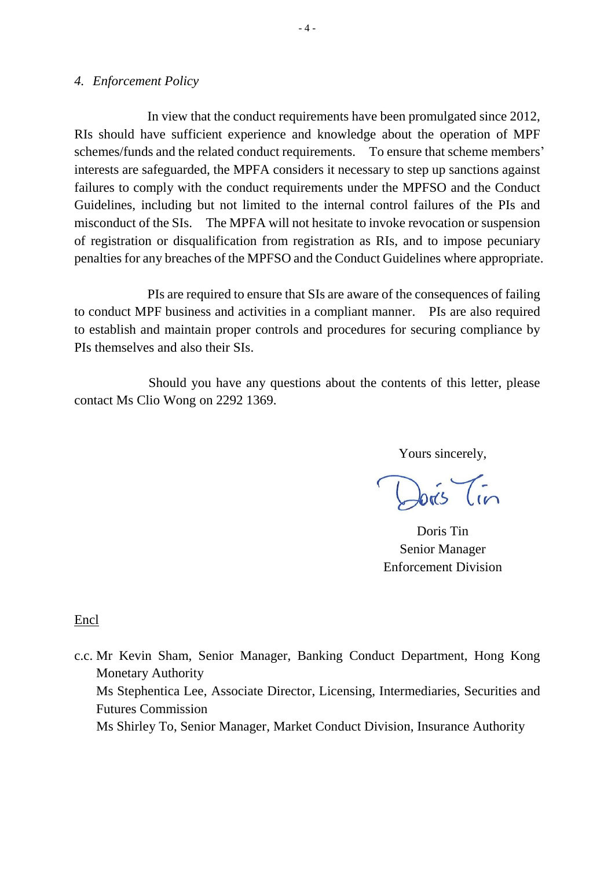#### *4. Enforcement Policy*

 In view that the conduct requirements have been promulgated since 2012, Guidelines, including but not limited to the internal control failures of the PIs and penalties for any breaches of the MPFSO and the Conduct Guidelines where appropriate. RIs should have sufficient experience and knowledge about the operation of MPF schemes/funds and the related conduct requirements. To ensure that scheme members' interests are safeguarded, the MPFA considers it necessary to step up sanctions against failures to comply with the conduct requirements under the MPFSO and the Conduct misconduct of the SIs. The MPFA will not hesitate to invoke revocation or suspension of registration or disqualification from registration as RIs, and to impose pecuniary

 PIs are required to ensure that SIs are aware of the consequences of failing to conduct MPF business and activities in a compliant manner. PIs are also required to establish and maintain proper controls and procedures for securing compliance by PIs themselves and also their SIs.

 Should you have any questions about the contents of this letter, please contact Ms Clio Wong on 2292 1369.

Yours sincerely,

Doris Tin Senior Manager Enforcement Division

Encl

 Monetary Authority c.c. Mr Kevin Sham, Senior Manager, Banking Conduct Department, Hong Kong Ms Stephentica Lee, Associate Director, Licensing, Intermediaries, Securities and Futures Commission Ms Shirley To, Senior Manager, Market Conduct Division, Insurance Authority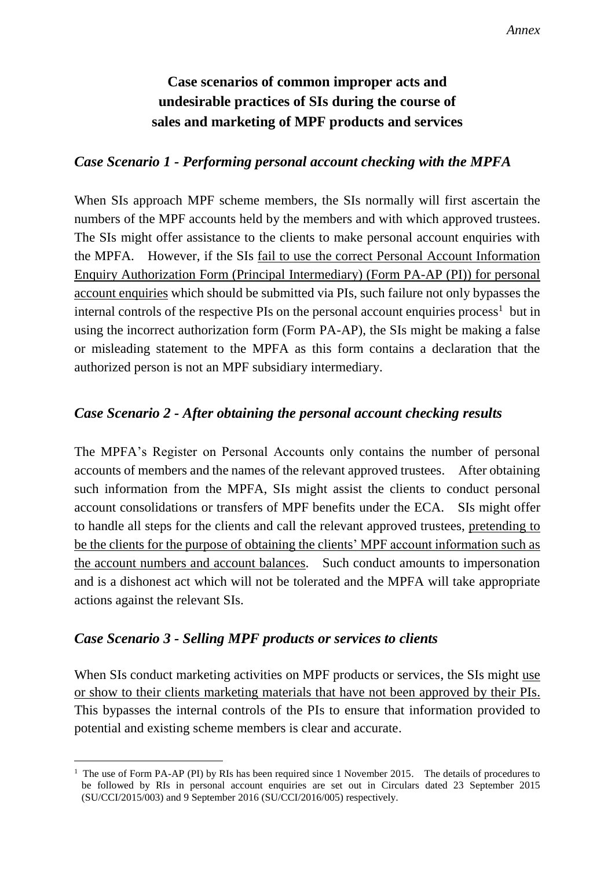# **Case scenarios of common improper acts and undesirable practices of SIs during the course of sales and marketing of MPF products and services**

## *Case Scenario 1 - Performing personal account checking with the MPFA*

 numbers of the MPF accounts held by the members and with which approved trustees. the MPFA. However, if the SIs fail to use the correct Personal Account Information account enquiries which should be submitted via PIs, such failure not only bypasses the or misleading statement to the MPFA as this form contains a declaration that the When SIs approach MPF scheme members, the SIs normally will first ascertain the The SIs might offer assistance to the clients to make personal account enquiries with Enquiry Authorization Form (Principal Intermediary) (Form PA-AP (PI)) for personal internal controls of the respective PIs on the personal account enquiries process<sup>1</sup> but in using the incorrect authorization form (Form PA-AP), the SIs might be making a false authorized person is not an MPF subsidiary intermediary.

## *Case Scenario 2 - After obtaining the personal account checking results*

 The MPFA's Register on Personal Accounts only contains the number of personal accounts of members and the names of the relevant approved trustees. After obtaining the account numbers and account balances. Such conduct amounts to impersonation such information from the MPFA, SIs might assist the clients to conduct personal account consolidations or transfers of MPF benefits under the ECA. SIs might offer to handle all steps for the clients and call the relevant approved trustees, pretending to be the clients for the purpose of obtaining the clients' MPF account information such as and is a dishonest act which will not be tolerated and the MPFA will take appropriate actions against the relevant SIs.

## *Case Scenario 3 - Selling MPF products or services to clients*

-

or show to their clients marketing materials that have not been approved by their PIs. This bypasses the internal controls of the PIs to ensure that information provided to When SIs conduct marketing activities on MPF products or services, the SIs might use potential and existing scheme members is clear and accurate.

 be followed by RIs in personal account enquiries are set out in Circulars dated 23 September 2015 (SU/CCI/2015/003) and 9 September 2016 (SU/CCI/2016/005) respectively. <sup>1</sup> The use of Form PA-AP (PI) by RIs has been required since 1 November 2015. The details of procedures to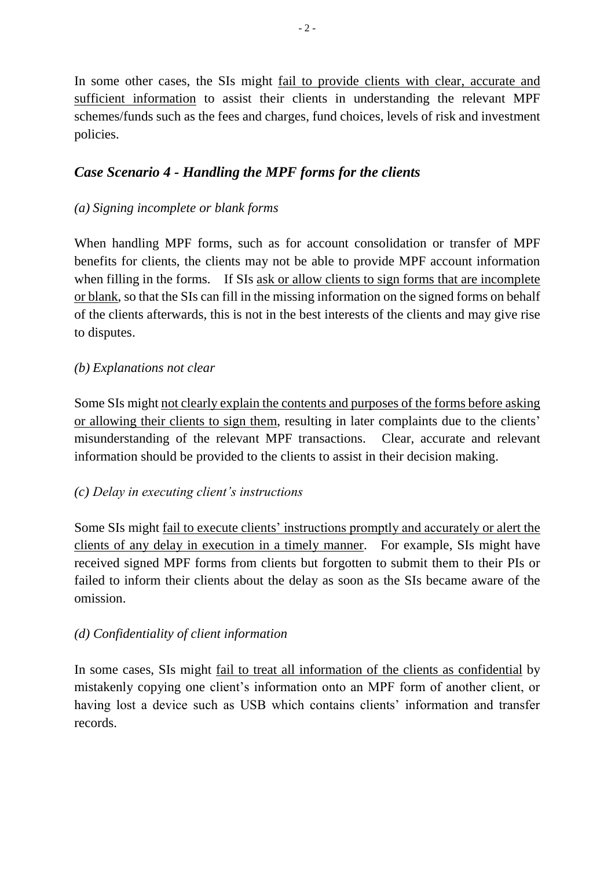In some other cases, the SIs might fail to provide clients with clear, accurate and sufficient information to assist their clients in understanding the relevant MPF schemes/funds such as the fees and charges, fund choices, levels of risk and investment policies.

## *Case Scenario 4 - Handling the MPF forms for the clients*

#### *(a) Signing incomplete or blank forms*

 When handling MPF forms, such as for account consolidation or transfer of MPF when filling in the forms. If SIs ask or allow clients to sign forms that are incomplete benefits for clients, the clients may not be able to provide MPF account information or blank, so that the SIs can fill in the missing information on the signed forms on behalf of the clients afterwards, this is not in the best interests of the clients and may give rise to disputes.

### *(b) Explanations not clear*

 misunderstanding of the relevant MPF transactions. Clear, accurate and relevant Some SIs might not clearly explain the contents and purposes of the forms before asking or allowing their clients to sign them, resulting in later complaints due to the clients' information should be provided to the clients to assist in their decision making.

#### *(c) Delay in executing client's instructions*

clients of any delay in execution in a timely manner. For example, SIs might have failed to inform their clients about the delay as soon as the SIs became aware of the Some SIs might fail to execute clients' instructions promptly and accurately or alert the received signed MPF forms from clients but forgotten to submit them to their PIs or omission.

#### *(d) Confidentiality of client information*

 mistakenly copying one client's information onto an MPF form of another client, or In some cases, SIs might <u>fail to treat all information of the clients</u> as confidential by having lost a device such as USB which contains clients' information and transfer records.